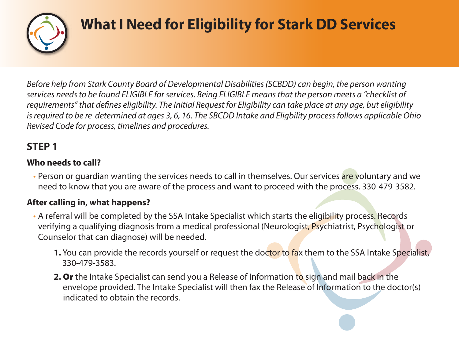

## **What I Need for Eligibility for Stark DD Services**

*Before help from Stark County Board of Developmental Disabilities (SCBDD) can begin, the person wanting services needs to be found ELIGIBLE for services. Being ELIGIBLE means that the person meets a "checklist of* requirements" that defines eligibility. The Initial Request for Eligibility can take place at any age, but eligibility *is required to be re-determined at ages 3, 6, 16. The SBCDD Intake and Eligbility process follows applicable Ohio Revised Code for process, timelines and procedures.*

### **STEP 1**

### **Who needs to call?**

• Person or guardian wanting the services needs to call in themselves. Our services are voluntary and we need to know that you are aware of the process and want to proceed with the process. 330-479-3582.

#### **After calling in, what happens?**

- A referral will be completed by the SSA Intake Specialist which starts the eligibility process. Records verifying a qualifying diagnosis from a medical professional (Neurologist, Psychiatrist, Psychologist or Counselor that can diagnose) will be needed.
	- **1.** You can provide the records yourself or request the doctor to fax them to the SSA Intake Specialist, 330-479-3583.
	- **2. Or** the Intake Specialist can send you a Release of Information to sign and mail back in the envelope provided. The Intake Specialist will then fax the Release of Information to the doctor(s) indicated to obtain the records.